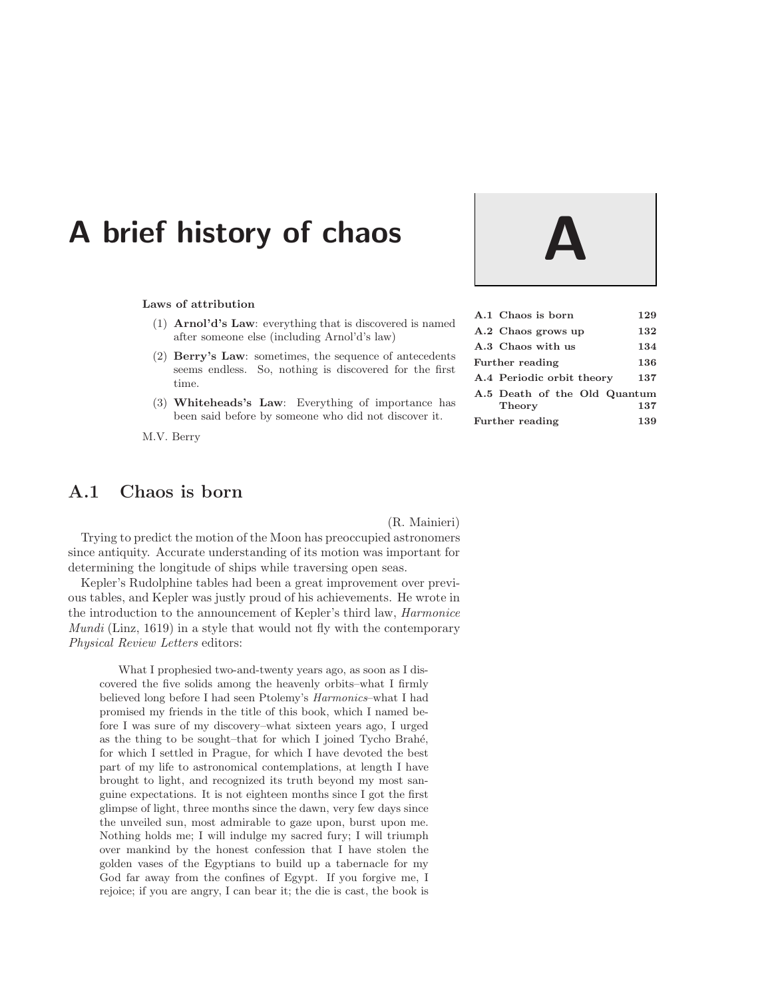# A brief history of chaos

#### Laws of attribution

- (1) Arnol'd's Law: everything that is discovered is named after someone else (including Arnol'd's law)
- (2) Berry's Law: sometimes, the sequence of antecedents seems endless. So, nothing is discovered for the first time.
- (3) Whiteheads's Law: Everything of importance has been said before by someone who did not discover it.

M.V. Berry

### A.1 Chaos is born

(R. Mainieri)

Trying to predict the motion of the Moon has preoccupied astronomers since antiquity. Accurate understanding of its motion was important for determining the longitude of ships while traversing open seas.

Kepler's Rudolphine tables had been a great improvement over previous tables, and Kepler was justly proud of his achievements. He wrote in the introduction to the announcement of Kepler's third law, Harmonice *Mundi* (Linz, 1619) in a style that would not fly with the contemporary Physical Review Letters editors:

What I prophesied two-and-twenty years ago, as soon as I discovered the five solids among the heavenly orbits–what I firmly believed long before I had seen Ptolemy's Harmonics–what I had promised my friends in the title of this book, which I named before I was sure of my discovery–what sixteen years ago, I urged as the thing to be sought–that for which I joined Tycho Brahé, for which I settled in Prague, for which I have devoted the best part of my life to astronomical contemplations, at length I have brought to light, and recognized its truth beyond my most sanguine expectations. It is not eighteen months since I got the first glimpse of light, three months since the dawn, very few days since the unveiled sun, most admirable to gaze upon, burst upon me. Nothing holds me; I will indulge my sacred fury; I will triumph over mankind by the honest confession that I have stolen the golden vases of the Egyptians to build up a tabernacle for my God far away from the confines of Egypt. If you forgive me, I rejoice; if you are angry, I can bear it; the die is cast, the book is



|                 | A.1 Chaos is born            | 129 |
|-----------------|------------------------------|-----|
|                 | A.2 Chaos grows up           | 132 |
|                 | A.3 Chaos with us            | 134 |
|                 | Further reading              | 136 |
|                 | A.4 Periodic orbit theory    | 137 |
|                 | A.5 Death of the Old Quantum |     |
|                 | Theory                       | 137 |
| Further reading |                              | 139 |
|                 |                              |     |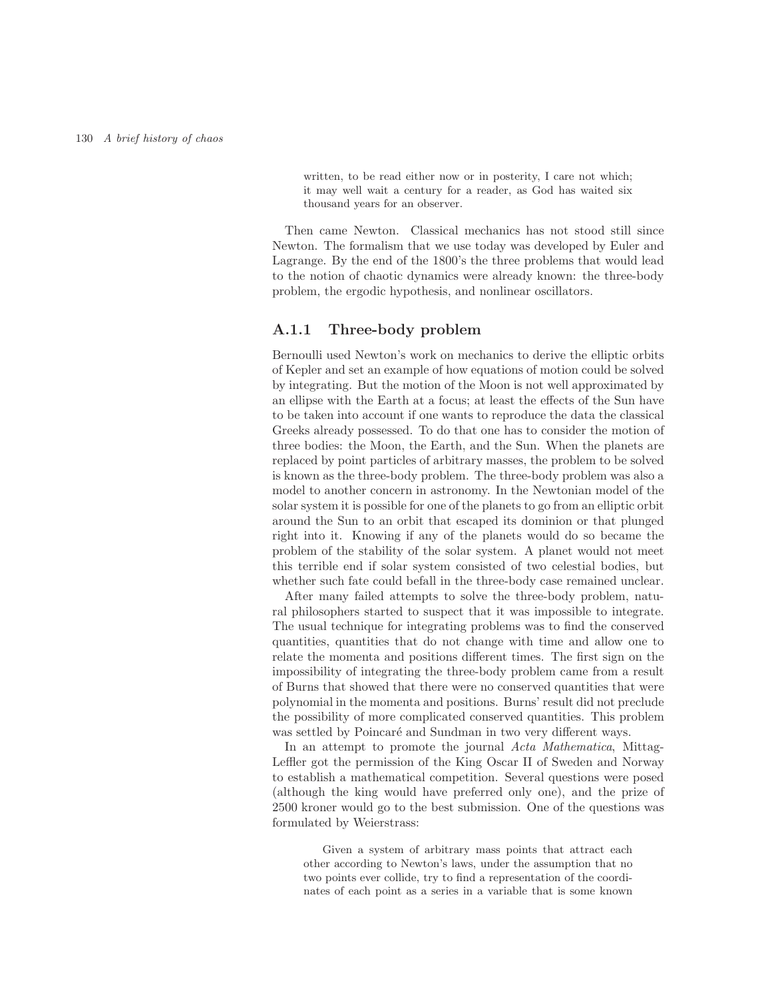written, to be read either now or in posterity, I care not which; it may well wait a century for a reader, as God has waited six thousand years for an observer.

Then came Newton. Classical mechanics has not stood still since Newton. The formalism that we use today was developed by Euler and Lagrange. By the end of the 1800's the three problems that would lead to the notion of chaotic dynamics were already known: the three-body problem, the ergodic hypothesis, and nonlinear oscillators.

#### A.1.1 Three-body problem

Bernoulli used Newton's work on mechanics to derive the elliptic orbits of Kepler and set an example of how equations of motion could be solved by integrating. But the motion of the Moon is not well approximated by an ellipse with the Earth at a focus; at least the effects of the Sun have to be taken into account if one wants to reproduce the data the classical Greeks already possessed. To do that one has to consider the motion of three bodies: the Moon, the Earth, and the Sun. When the planets are replaced by point particles of arbitrary masses, the problem to be solved is known as the three-body problem. The three-body problem was also a model to another concern in astronomy. In the Newtonian model of the solar system it is possible for one of the planets to go from an elliptic orbit around the Sun to an orbit that escaped its dominion or that plunged right into it. Knowing if any of the planets would do so became the problem of the stability of the solar system. A planet would not meet this terrible end if solar system consisted of two celestial bodies, but whether such fate could befall in the three-body case remained unclear.

After many failed attempts to solve the three-body problem, natural philosophers started to suspect that it was impossible to integrate. The usual technique for integrating problems was to find the conserved quantities, quantities that do not change with time and allow one to relate the momenta and positions different times. The first sign on the impossibility of integrating the three-body problem came from a result of Burns that showed that there were no conserved quantities that were polynomial in the momenta and positions. Burns' result did not preclude the possibility of more complicated conserved quantities. This problem was settled by Poincaré and Sundman in two very different ways.

In an attempt to promote the journal Acta Mathematica, Mittag-Leffler got the permission of the King Oscar II of Sweden and Norway to establish a mathematical competition. Several questions were posed (although the king would have preferred only one), and the prize of 2500 kroner would go to the best submission. One of the questions was formulated by Weierstrass:

Given a system of arbitrary mass points that attract each other according to Newton's laws, under the assumption that no two points ever collide, try to find a representation of the coordinates of each point as a series in a variable that is some known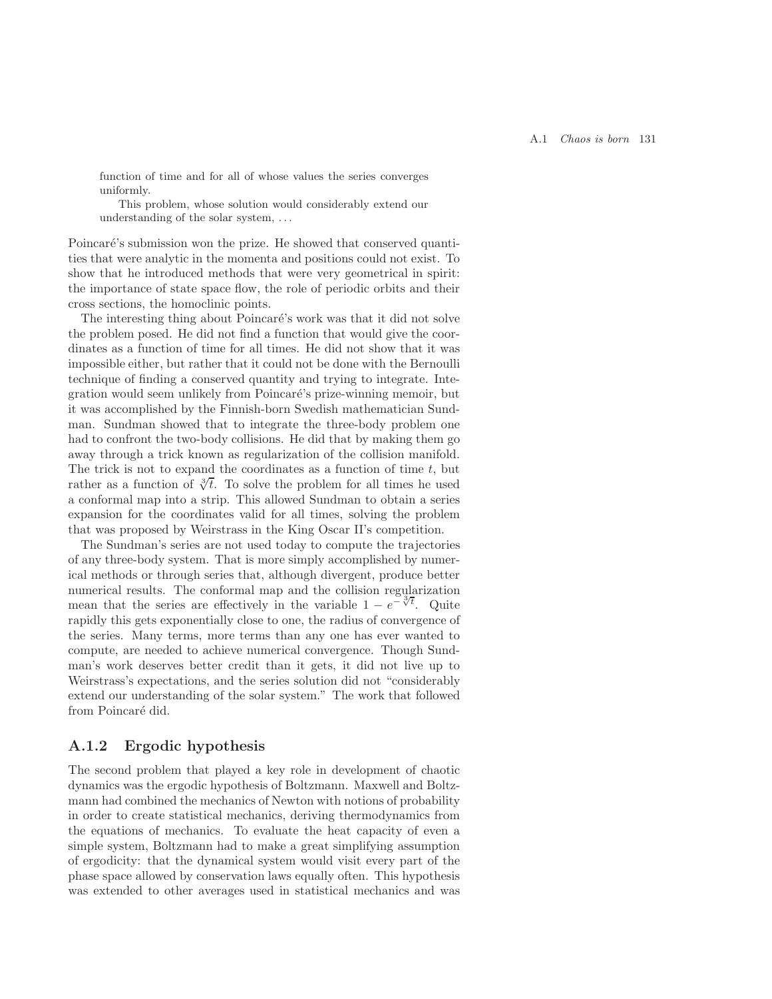function of time and for all of whose values the series converges uniformly.

This problem, whose solution would considerably extend our understanding of the solar system, . . .

Poincaré's submission won the prize. He showed that conserved quantities that were analytic in the momenta and positions could not exist. To show that he introduced methods that were very geometrical in spirit: the importance of state space flow, the role of periodic orbits and their cross sections, the homoclinic points.

The interesting thing about Poincaré's work was that it did not solve the problem posed. He did not find a function that would give the coordinates as a function of time for all times. He did not show that it was impossible either, but rather that it could not be done with the Bernoulli technique of finding a conserved quantity and trying to integrate. Integration would seem unlikely from Poincaré's prize-winning memoir, but it was accomplished by the Finnish-born Swedish mathematician Sundman. Sundman showed that to integrate the three-body problem one had to confront the two-body collisions. He did that by making them go away through a trick known as regularization of the collision manifold. The trick is not to expand the coordinates as a function of time  $t$ , but rather as a function of  $\sqrt[3]{t}$ . To solve the problem for all times he used a conformal map into a strip. This allowed Sundman to obtain a series expansion for the coordinates valid for all times, solving the problem that was proposed by Weirstrass in the King Oscar II's competition.

The Sundman's series are not used today to compute the trajectories of any three-body system. That is more simply accomplished by numerical methods or through series that, although divergent, produce better numerical results. The conformal map and the collision regularization mean that the series are effectively in the variable  $1 - e^{-\sqrt[3]{t}}$ . Quite rapidly this gets exponentially close to one, the radius of convergence of the series. Many terms, more terms than any one has ever wanted to compute, are needed to achieve numerical convergence. Though Sundman's work deserves better credit than it gets, it did not live up to Weirstrass's expectations, and the series solution did not "considerably extend our understanding of the solar system." The work that followed from Poincaré did.

#### A.1.2 Ergodic hypothesis

The second problem that played a key role in development of chaotic dynamics was the ergodic hypothesis of Boltzmann. Maxwell and Boltzmann had combined the mechanics of Newton with notions of probability in order to create statistical mechanics, deriving thermodynamics from the equations of mechanics. To evaluate the heat capacity of even a simple system, Boltzmann had to make a great simplifying assumption of ergodicity: that the dynamical system would visit every part of the phase space allowed by conservation laws equally often. This hypothesis was extended to other averages used in statistical mechanics and was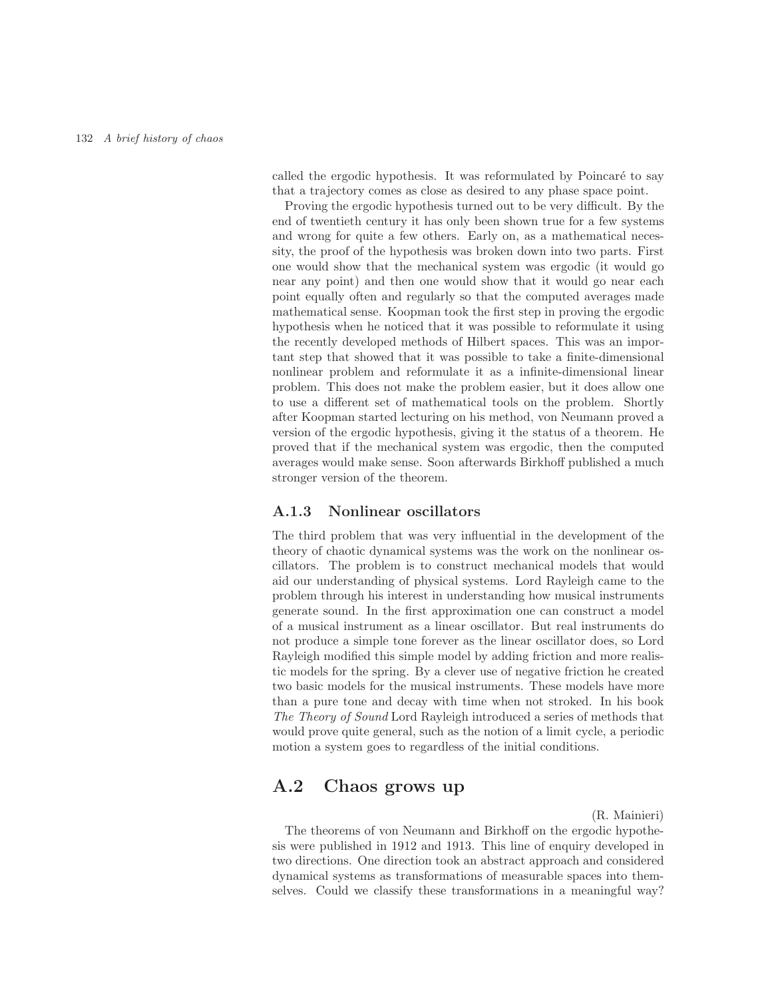called the ergodic hypothesis. It was reformulated by Poincaré to say that a trajectory comes as close as desired to any phase space point.

Proving the ergodic hypothesis turned out to be very difficult. By the end of twentieth century it has only been shown true for a few systems and wrong for quite a few others. Early on, as a mathematical necessity, the proof of the hypothesis was broken down into two parts. First one would show that the mechanical system was ergodic (it would go near any point) and then one would show that it would go near each point equally often and regularly so that the computed averages made mathematical sense. Koopman took the first step in proving the ergodic hypothesis when he noticed that it was possible to reformulate it using the recently developed methods of Hilbert spaces. This was an important step that showed that it was possible to take a finite-dimensional nonlinear problem and reformulate it as a infinite-dimensional linear problem. This does not make the problem easier, but it does allow one to use a different set of mathematical tools on the problem. Shortly after Koopman started lecturing on his method, von Neumann proved a version of the ergodic hypothesis, giving it the status of a theorem. He proved that if the mechanical system was ergodic, then the computed averages would make sense. Soon afterwards Birkhoff published a much stronger version of the theorem.

#### A.1.3 Nonlinear oscillators

The third problem that was very influential in the development of the theory of chaotic dynamical systems was the work on the nonlinear oscillators. The problem is to construct mechanical models that would aid our understanding of physical systems. Lord Rayleigh came to the problem through his interest in understanding how musical instruments generate sound. In the first approximation one can construct a model of a musical instrument as a linear oscillator. But real instruments do not produce a simple tone forever as the linear oscillator does, so Lord Rayleigh modified this simple model by adding friction and more realistic models for the spring. By a clever use of negative friction he created two basic models for the musical instruments. These models have more than a pure tone and decay with time when not stroked. In his book The Theory of Sound Lord Rayleigh introduced a series of methods that would prove quite general, such as the notion of a limit cycle, a periodic motion a system goes to regardless of the initial conditions.

## A.2 Chaos grows up

(R. Mainieri)

The theorems of von Neumann and Birkhoff on the ergodic hypothesis were published in 1912 and 1913. This line of enquiry developed in two directions. One direction took an abstract approach and considered dynamical systems as transformations of measurable spaces into themselves. Could we classify these transformations in a meaningful way?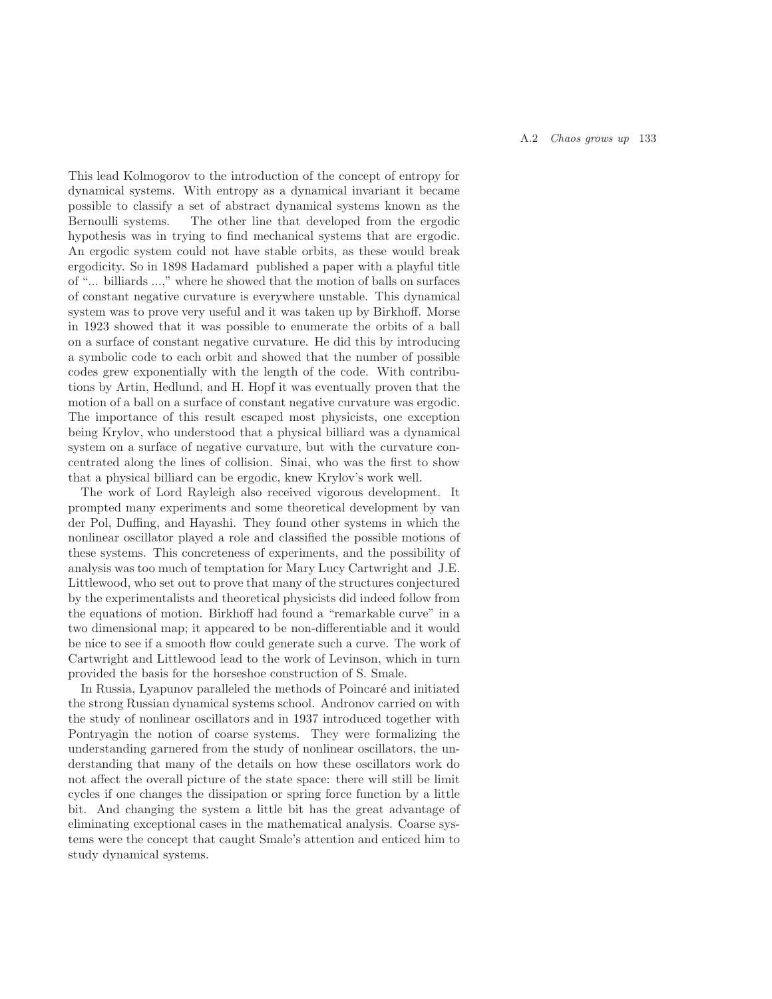This lead Kolmogorov to the introduction of the concept of entropy for dynamical systems. With entropy as a dynamical invariant it became possible to classify a set of abstract dynamical systems known as the Bernoulli systems. The other line that developed from the ergodic hypothesis was in trying to find mechanical systems that are ergodic. An ergodic system could not have stable orbits, as these would break ergodicity. So in 1898 Hadamard published a paper with a playful title of "... billiards ...," where he showed that the motion of balls on surfaces of constant negative curvature is everywhere unstable. This dynamical system was to prove very useful and it was taken up by Birkhoff. Morse in 1923 showed that it was possible to enumerate the orbits of a ball on a surface of constant negative curvature. He did this by introducing a symbolic code to each orbit and showed that the number of possible codes grew exponentially with the length of the code. With contributions by Artin, Hedlund, and H. Hopf it was eventually proven that the motion of a ball on a surface of constant negative curvature was ergodic. The importance of this result escaped most physicists, one exception being Krylov, who understood that a physical billiard was a dynamical system on a surface of negative curvature, but with the curvature concentrated along the lines of collision. Sinai, who was the first to show that a physical billiard can be ergodic, knew Krylov's work well.

The work of Lord Rayleigh also received vigorous development. It prompted many experiments and some theoretical development by van der Pol, Duffing, and Hayashi. They found other systems in which the nonlinear oscillator played a role and classified the possible motions of these systems. This concreteness of experiments, and the possibility of analysis was too much of temptation for Mary Lucy Cartwright and J.E. Littlewood, who set out to prove that many of the structures conjectured by the experimentalists and theoretical physicists did indeed follow from the equations of motion. Birkhoff had found a "remarkable curve" in a two dimensional map; it appeared to be non-differentiable and it would be nice to see if a smooth flow could generate such a curve. The work of Cartwright and Littlewood lead to the work of Levinson, which in turn provided the basis for the horseshoe construction of S. Smale.

In Russia, Lyapunov paralleled the methods of Poincaré and initiated the strong Russian dynamical systems school. Andronov carried on with the study of nonlinear oscillators and in 1937 introduced together with Pontryagin the notion of coarse systems. They were formalizing the understanding garnered from the study of nonlinear oscillators, the understanding that many of the details on how these oscillators work do not affect the overall picture of the state space: there will still be limit cycles if one changes the dissipation or spring force function by a little bit. And changing the system a little bit has the great advantage of eliminating exceptional cases in the mathematical analysis. Coarse systems were the concept that caught Smale's attention and enticed him to study dynamical systems.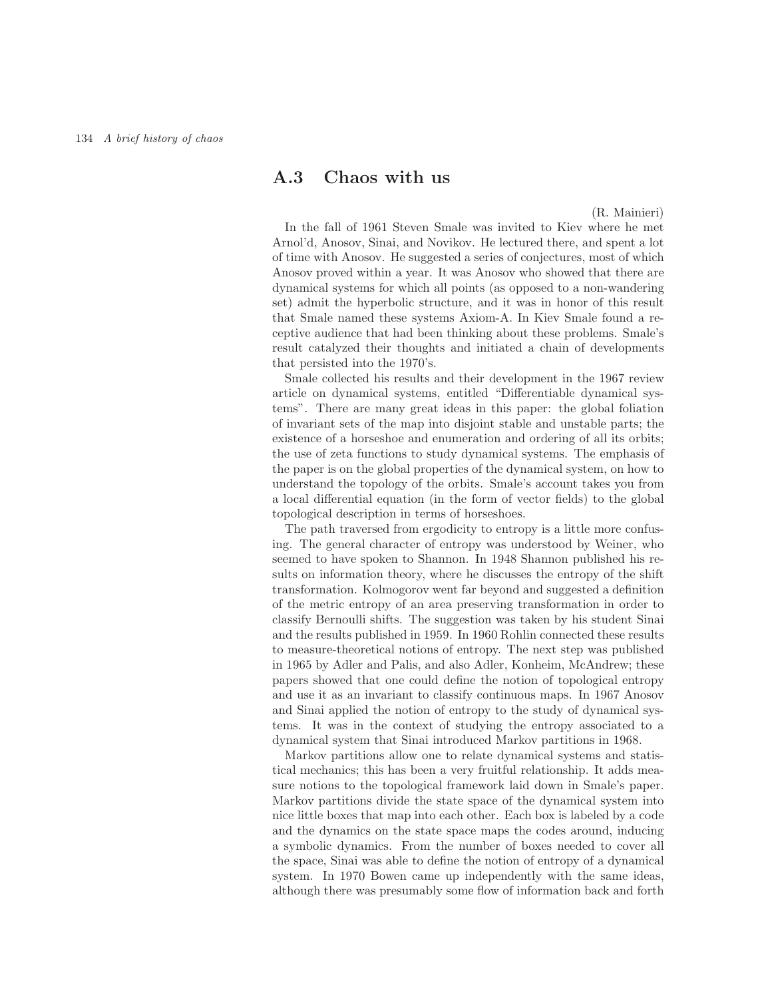### A.3 Chaos with us

(R. Mainieri)

In the fall of 1961 Steven Smale was invited to Kiev where he met Arnol'd, Anosov, Sinai, and Novikov. He lectured there, and spent a lot of time with Anosov. He suggested a series of conjectures, most of which Anosov proved within a year. It was Anosov who showed that there are dynamical systems for which all points (as opposed to a non-wandering set) admit the hyperbolic structure, and it was in honor of this result that Smale named these systems Axiom-A. In Kiev Smale found a receptive audience that had been thinking about these problems. Smale's result catalyzed their thoughts and initiated a chain of developments that persisted into the 1970's.

Smale collected his results and their development in the 1967 review article on dynamical systems, entitled "Differentiable dynamical systems". There are many great ideas in this paper: the global foliation of invariant sets of the map into disjoint stable and unstable parts; the existence of a horseshoe and enumeration and ordering of all its orbits; the use of zeta functions to study dynamical systems. The emphasis of the paper is on the global properties of the dynamical system, on how to understand the topology of the orbits. Smale's account takes you from a local differential equation (in the form of vector fields) to the global topological description in terms of horseshoes.

The path traversed from ergodicity to entropy is a little more confusing. The general character of entropy was understood by Weiner, who seemed to have spoken to Shannon. In 1948 Shannon published his results on information theory, where he discusses the entropy of the shift transformation. Kolmogorov went far beyond and suggested a definition of the metric entropy of an area preserving transformation in order to classify Bernoulli shifts. The suggestion was taken by his student Sinai and the results published in 1959. In 1960 Rohlin connected these results to measure-theoretical notions of entropy. The next step was published in 1965 by Adler and Palis, and also Adler, Konheim, McAndrew; these papers showed that one could define the notion of topological entropy and use it as an invariant to classify continuous maps. In 1967 Anosov and Sinai applied the notion of entropy to the study of dynamical systems. It was in the context of studying the entropy associated to a dynamical system that Sinai introduced Markov partitions in 1968.

Markov partitions allow one to relate dynamical systems and statistical mechanics; this has been a very fruitful relationship. It adds measure notions to the topological framework laid down in Smale's paper. Markov partitions divide the state space of the dynamical system into nice little boxes that map into each other. Each box is labeled by a code and the dynamics on the state space maps the codes around, inducing a symbolic dynamics. From the number of boxes needed to cover all the space, Sinai was able to define the notion of entropy of a dynamical system. In 1970 Bowen came up independently with the same ideas, although there was presumably some flow of information back and forth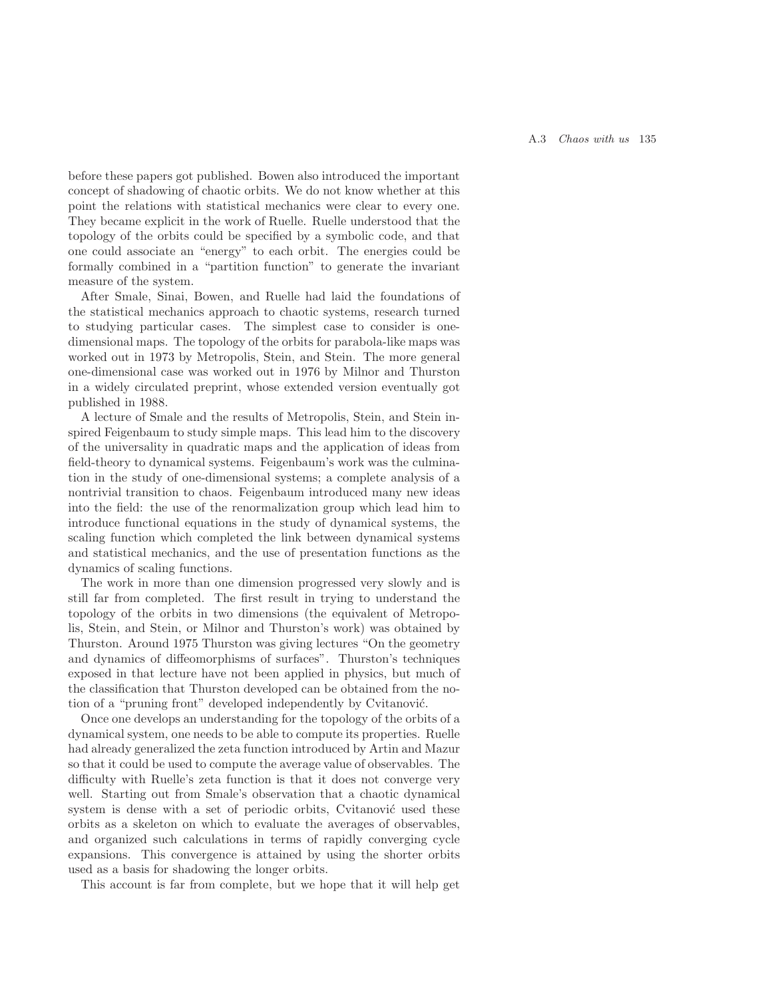before these papers got published. Bowen also introduced the important concept of shadowing of chaotic orbits. We do not know whether at this point the relations with statistical mechanics were clear to every one. They became explicit in the work of Ruelle. Ruelle understood that the topology of the orbits could be specified by a symbolic code, and that one could associate an "energy" to each orbit. The energies could be formally combined in a "partition function" to generate the invariant measure of the system.

After Smale, Sinai, Bowen, and Ruelle had laid the foundations of the statistical mechanics approach to chaotic systems, research turned to studying particular cases. The simplest case to consider is onedimensional maps. The topology of the orbits for parabola-like maps was worked out in 1973 by Metropolis, Stein, and Stein. The more general one-dimensional case was worked out in 1976 by Milnor and Thurston in a widely circulated preprint, whose extended version eventually got published in 1988.

A lecture of Smale and the results of Metropolis, Stein, and Stein inspired Feigenbaum to study simple maps. This lead him to the discovery of the universality in quadratic maps and the application of ideas from field-theory to dynamical systems. Feigenbaum's work was the culmination in the study of one-dimensional systems; a complete analysis of a nontrivial transition to chaos. Feigenbaum introduced many new ideas into the field: the use of the renormalization group which lead him to introduce functional equations in the study of dynamical systems, the scaling function which completed the link between dynamical systems and statistical mechanics, and the use of presentation functions as the dynamics of scaling functions.

The work in more than one dimension progressed very slowly and is still far from completed. The first result in trying to understand the topology of the orbits in two dimensions (the equivalent of Metropolis, Stein, and Stein, or Milnor and Thurston's work) was obtained by Thurston. Around 1975 Thurston was giving lectures "On the geometry and dynamics of diffeomorphisms of surfaces". Thurston's techniques exposed in that lecture have not been applied in physics, but much of the classification that Thurston developed can be obtained from the notion of a "pruning front" developed independently by Cvitanović.

Once one develops an understanding for the topology of the orbits of a dynamical system, one needs to be able to compute its properties. Ruelle had already generalized the zeta function introduced by Artin and Mazur so that it could be used to compute the average value of observables. The difficulty with Ruelle's zeta function is that it does not converge very well. Starting out from Smale's observation that a chaotic dynamical system is dense with a set of periodic orbits, Cvitanović used these orbits as a skeleton on which to evaluate the averages of observables, and organized such calculations in terms of rapidly converging cycle expansions. This convergence is attained by using the shorter orbits used as a basis for shadowing the longer orbits.

This account is far from complete, but we hope that it will help get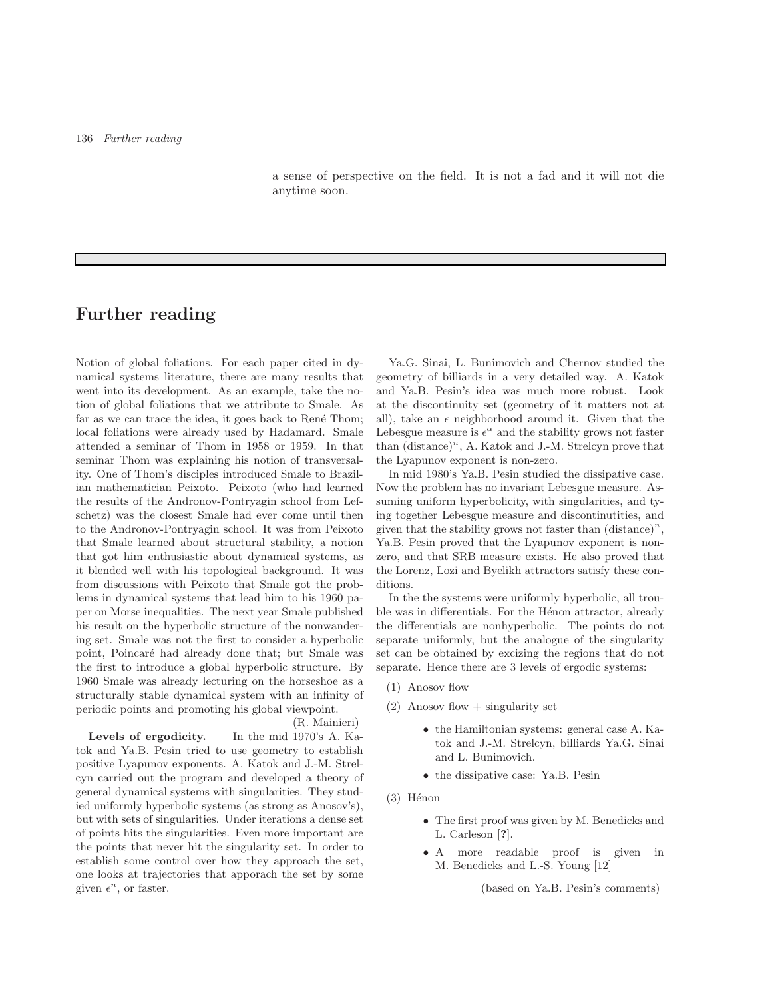a sense of perspective on the field. It is not a fad and it will not die anytime soon.

## Further reading

Notion of global foliations. For each paper cited in dynamical systems literature, there are many results that went into its development. As an example, take the notion of global foliations that we attribute to Smale. As far as we can trace the idea, it goes back to René Thom; local foliations were already used by Hadamard. Smale attended a seminar of Thom in 1958 or 1959. In that seminar Thom was explaining his notion of transversality. One of Thom's disciples introduced Smale to Brazilian mathematician Peixoto. Peixoto (who had learned the results of the Andronov-Pontryagin school from Lefschetz) was the closest Smale had ever come until then to the Andronov-Pontryagin school. It was from Peixoto that Smale learned about structural stability, a notion that got him enthusiastic about dynamical systems, as it blended well with his topological background. It was from discussions with Peixoto that Smale got the problems in dynamical systems that lead him to his 1960 paper on Morse inequalities. The next year Smale published his result on the hyperbolic structure of the nonwandering set. Smale was not the first to consider a hyperbolic point, Poincaré had already done that; but Smale was the first to introduce a global hyperbolic structure. By 1960 Smale was already lecturing on the horseshoe as a structurally stable dynamical system with an infinity of periodic points and promoting his global viewpoint.

(R. Mainieri)

Levels of ergodicity. In the mid 1970's A. Katok and Ya.B. Pesin tried to use geometry to establish positive Lyapunov exponents. A. Katok and J.-M. Strelcyn carried out the program and developed a theory of general dynamical systems with singularities. They studied uniformly hyperbolic systems (as strong as Anosov's), but with sets of singularities. Under iterations a dense set of points hits the singularities. Even more important are the points that never hit the singularity set. In order to establish some control over how they approach the set, one looks at trajectories that apporach the set by some given  $\epsilon^n$ , or faster.

Ya.G. Sinai, L. Bunimovich and Chernov studied the geometry of billiards in a very detailed way. A. Katok and Ya.B. Pesin's idea was much more robust. Look at the discontinuity set (geometry of it matters not at all), take an  $\epsilon$  neighborhood around it. Given that the Lebesgue measure is  $\epsilon^{\alpha}$  and the stability grows not faster than  $(distance)^n$ , A. Katok and J.-M. Strelcyn prove that the Lyapunov exponent is non-zero.

In mid 1980's Ya.B. Pesin studied the dissipative case. Now the problem has no invariant Lebesgue measure. Assuming uniform hyperbolicity, with singularities, and tying together Lebesgue measure and discontinutities, and given that the stability grows not faster than  $(distance)^n$ , Ya.B. Pesin proved that the Lyapunov exponent is nonzero, and that SRB measure exists. He also proved that the Lorenz, Lozi and Byelikh attractors satisfy these conditions.

In the the systems were uniformly hyperbolic, all trouble was in differentials. For the Hénon attractor, already the differentials are nonhyperbolic. The points do not separate uniformly, but the analogue of the singularity set can be obtained by excizing the regions that do not separate. Hence there are 3 levels of ergodic systems:

- (1) Anosov flow
- (2) Anosov flow  $+$  singularity set
	- the Hamiltonian systems: general case A. Katok and J.-M. Strelcyn, billiards Ya.G. Sinai and L. Bunimovich.
	- the dissipative case: Ya.B. Pesin
- $(3)$  Hénon
	- The first proof was given by M. Benedicks and L. Carleson [?].
	- A more readable proof is given in M. Benedicks and L.-S. Young [12]

(based on Ya.B. Pesin's comments)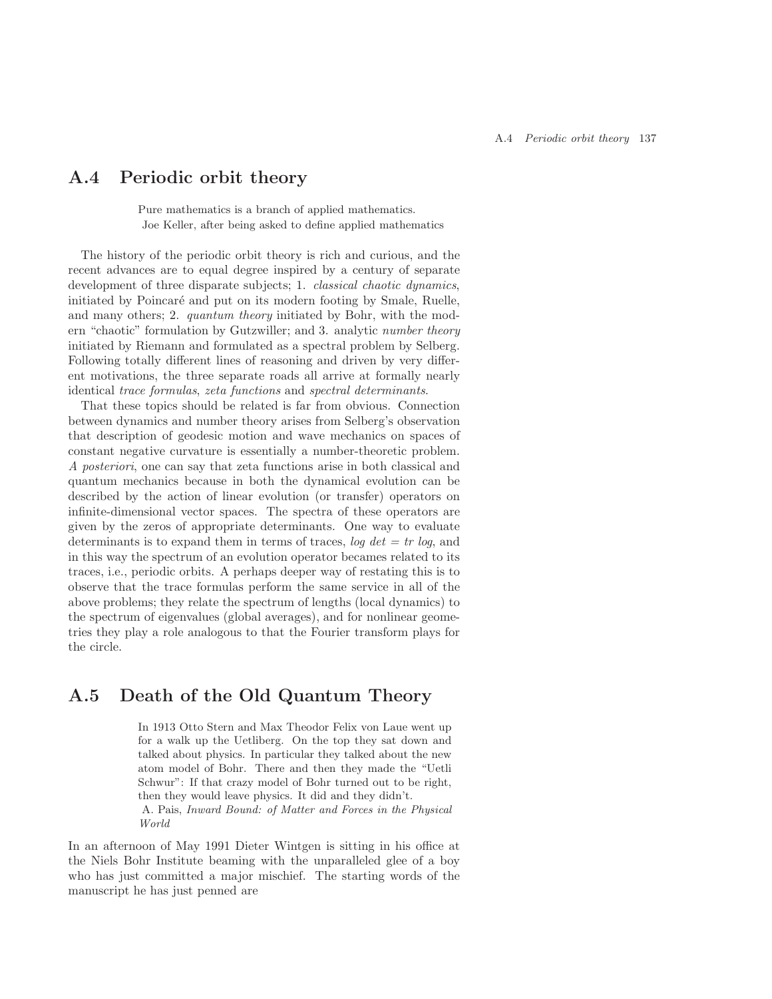### A.4 Periodic orbit theory

Pure mathematics is a branch of applied mathematics. Joe Keller, after being asked to define applied mathematics

The history of the periodic orbit theory is rich and curious, and the recent advances are to equal degree inspired by a century of separate development of three disparate subjects; 1. *classical chaotic dynamics*, initiated by Poincaré and put on its modern footing by Smale, Ruelle, and many others; 2. quantum theory initiated by Bohr, with the modern "chaotic" formulation by Gutzwiller; and 3. analytic number theory initiated by Riemann and formulated as a spectral problem by Selberg. Following totally different lines of reasoning and driven by very different motivations, the three separate roads all arrive at formally nearly identical trace formulas, zeta functions and spectral determinants.

That these topics should be related is far from obvious. Connection between dynamics and number theory arises from Selberg's observation that description of geodesic motion and wave mechanics on spaces of constant negative curvature is essentially a number-theoretic problem. A posteriori, one can say that zeta functions arise in both classical and quantum mechanics because in both the dynamical evolution can be described by the action of linear evolution (or transfer) operators on infinite-dimensional vector spaces. The spectra of these operators are given by the zeros of appropriate determinants. One way to evaluate determinants is to expand them in terms of traces,  $log det = tr log$ , and in this way the spectrum of an evolution operator becames related to its traces, i.e., periodic orbits. A perhaps deeper way of restating this is to observe that the trace formulas perform the same service in all of the above problems; they relate the spectrum of lengths (local dynamics) to the spectrum of eigenvalues (global averages), and for nonlinear geometries they play a role analogous to that the Fourier transform plays for the circle.

## A.5 Death of the Old Quantum Theory

In 1913 Otto Stern and Max Theodor Felix von Laue went up for a walk up the Uetliberg. On the top they sat down and talked about physics. In particular they talked about the new atom model of Bohr. There and then they made the "Uetli Schwur": If that crazy model of Bohr turned out to be right, then they would leave physics. It did and they didn't.

A. Pais, Inward Bound: of Matter and Forces in the Physical World

In an afternoon of May 1991 Dieter Wintgen is sitting in his office at the Niels Bohr Institute beaming with the unparalleled glee of a boy who has just committed a major mischief. The starting words of the manuscript he has just penned are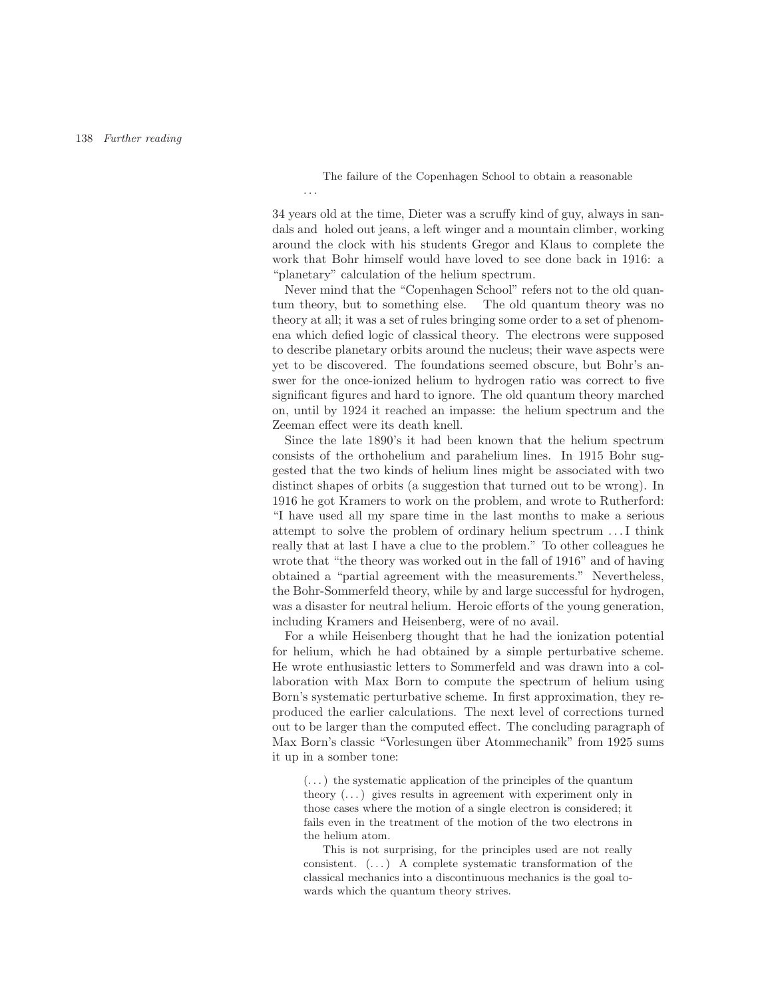The failure of the Copenhagen School to obtain a reasonable

34 years old at the time, Dieter was a scruffy kind of guy, always in sandals and holed out jeans, a left winger and a mountain climber, working around the clock with his students Gregor and Klaus to complete the work that Bohr himself would have loved to see done back in 1916: a "planetary" calculation of the helium spectrum.

. . .

Never mind that the "Copenhagen School" refers not to the old quantum theory, but to something else. The old quantum theory was no theory at all; it was a set of rules bringing some order to a set of phenomena which defied logic of classical theory. The electrons were supposed to describe planetary orbits around the nucleus; their wave aspects were yet to be discovered. The foundations seemed obscure, but Bohr's answer for the once-ionized helium to hydrogen ratio was correct to five significant figures and hard to ignore. The old quantum theory marched on, until by 1924 it reached an impasse: the helium spectrum and the Zeeman effect were its death knell.

Since the late 1890's it had been known that the helium spectrum consists of the orthohelium and parahelium lines. In 1915 Bohr suggested that the two kinds of helium lines might be associated with two distinct shapes of orbits (a suggestion that turned out to be wrong). In 1916 he got Kramers to work on the problem, and wrote to Rutherford: "I have used all my spare time in the last months to make a serious attempt to solve the problem of ordinary helium spectrum . . .I think really that at last I have a clue to the problem." To other colleagues he wrote that "the theory was worked out in the fall of 1916" and of having obtained a "partial agreement with the measurements." Nevertheless, the Bohr-Sommerfeld theory, while by and large successful for hydrogen, was a disaster for neutral helium. Heroic efforts of the young generation, including Kramers and Heisenberg, were of no avail.

For a while Heisenberg thought that he had the ionization potential for helium, which he had obtained by a simple perturbative scheme. He wrote enthusiastic letters to Sommerfeld and was drawn into a collaboration with Max Born to compute the spectrum of helium using Born's systematic perturbative scheme. In first approximation, they reproduced the earlier calculations. The next level of corrections turned out to be larger than the computed effect. The concluding paragraph of Max Born's classic "Vorlesungen über Atommechanik" from 1925 sums it up in a somber tone:

 $(\dots)$  the systematic application of the principles of the quantum theory  $(\dots)$  gives results in agreement with experiment only in those cases where the motion of a single electron is considered; it fails even in the treatment of the motion of the two electrons in the helium atom.

This is not surprising, for the principles used are not really consistent.  $(\ldots)$  A complete systematic transformation of the classical mechanics into a discontinuous mechanics is the goal towards which the quantum theory strives.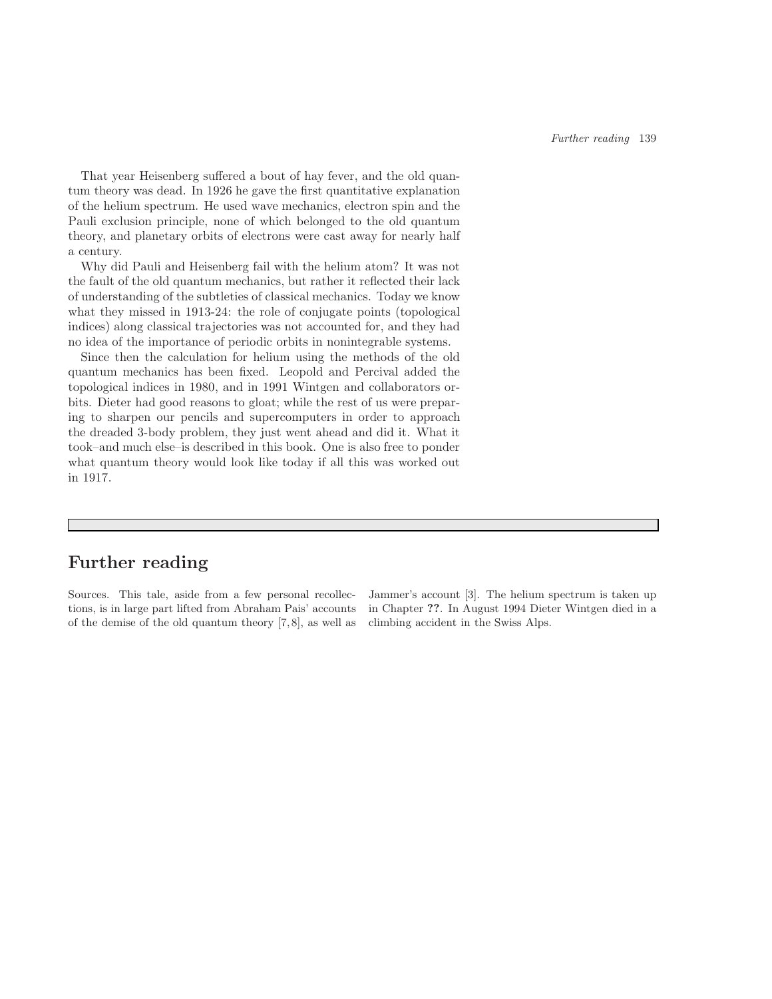That year Heisenberg suffered a bout of hay fever, and the old quantum theory was dead. In 1926 he gave the first quantitative explanation of the helium spectrum. He used wave mechanics, electron spin and the Pauli exclusion principle, none of which belonged to the old quantum theory, and planetary orbits of electrons were cast away for nearly half a century.

Why did Pauli and Heisenberg fail with the helium atom? It was not the fault of the old quantum mechanics, but rather it reflected their lack of understanding of the subtleties of classical mechanics. Today we know what they missed in 1913-24: the role of conjugate points (topological indices) along classical trajectories was not accounted for, and they had no idea of the importance of periodic orbits in nonintegrable systems.

Since then the calculation for helium using the methods of the old quantum mechanics has been fixed. Leopold and Percival added the topological indices in 1980, and in 1991 Wintgen and collaborators orbits. Dieter had good reasons to gloat; while the rest of us were preparing to sharpen our pencils and supercomputers in order to approach the dreaded 3-body problem, they just went ahead and did it. What it took–and much else–is described in this book. One is also free to ponder what quantum theory would look like today if all this was worked out in 1917.

## Further reading

Sources. This tale, aside from a few personal recollections, is in large part lifted from Abraham Pais' accounts of the demise of the old quantum theory [7, 8], as well as

Jammer's account [3]. The helium spectrum is taken up in Chapter ??. In August 1994 Dieter Wintgen died in a climbing accident in the Swiss Alps.